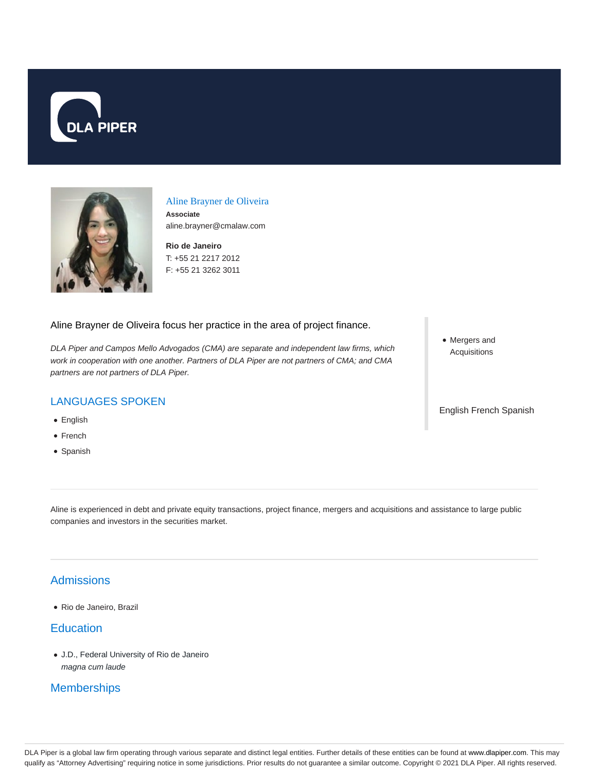



# Aline Brayner de Oliveira

**Associate** aline.brayner@cmalaw.com

**Rio de Janeiro** T: +55 21 2217 2012 F: +55 21 3262 3011

Aline Brayner de Oliveira focus her practice in the area of project finance.

DLA Piper and Campos Mello Advogados (CMA) are separate and independent law firms, which work in cooperation with one another. Partners of DLA Piper are not partners of CMA; and CMA partners are not partners of DLA Piper.

## LANGUAGES SPOKEN

- English
- French
- Spanish

• Mergers and Acquisitions

English French Spanish

Aline is experienced in debt and private equity transactions, project finance, mergers and acquisitions and assistance to large public companies and investors in the securities market.

# **Admissions**

Rio de Janeiro, Brazil

#### **Education**

J.D., Federal University of Rio de Janeiro magna cum laude

## **Memberships**

DLA Piper is a global law firm operating through various separate and distinct legal entities. Further details of these entities can be found at www.dlapiper.com. This may qualify as "Attorney Advertising" requiring notice in some jurisdictions. Prior results do not guarantee a similar outcome. Copyright © 2021 DLA Piper. All rights reserved.